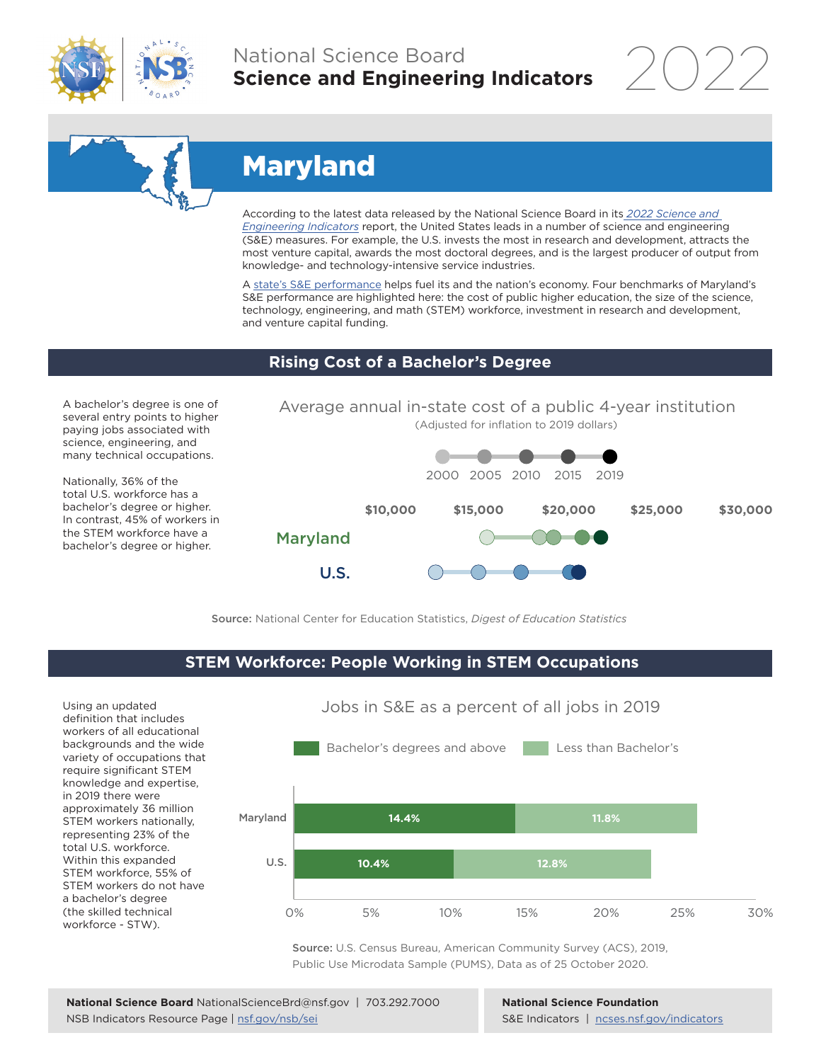

## National Science Board **Science and Engineering Indicators**



# Maryland

According to the latest data released by the National Science Board in its *[2022 Science and](https://www.ncses.nsf.gov/indicators)  [Engineering Indicators](https://www.ncses.nsf.gov/indicators)* report, the United States leads in a number of science and engineering (S&E) measures. For example, the U.S. invests the most in research and development, attracts the most venture capital, awards the most doctoral degrees, and is the largest producer of output from knowledge- and technology-intensive service industries.

A [state's S&E performance](https://ncses.nsf.gov/indicators/states/) helps fuel its and the nation's economy. Four benchmarks of Maryland's S&E performance are highlighted here: the cost of public higher education, the size of the science, technology, engineering, and math (STEM) workforce, investment in research and development, and venture capital funding.

#### **Rising Cost of a Bachelor's Degree**

A bachelor's degree is one of several entry points to higher paying jobs associated with science, engineering, and many technical occupations.

Nationally, 36% of the total U.S. workforce has a bachelor's degree or higher. In contrast, 45% of workers in the STEM workforce have a bachelor's degree or higher.



Source: National Center for Education Statistics, *Digest of Education Statistics*

#### **STEM Workforce: People Working in STEM Occupations**

U.S.

Using an updated definition that includes workers of all educational backgrounds and the wide variety of occupations that require significant STEM knowledge and expertise, in 2019 there were approximately 36 million STEM workers nationally, representing 23% of the total U.S. workforce. Within this expanded STEM workforce, 55% of STEM workers do not have a bachelor's degree (the skilled technical workforce - STW).



Jobs in S&E as a percent of all jobs in 2019

Source: U.S. Census Bureau, American Community Survey (ACS), 2019, Public Use Microdata Sample (PUMS), Data as of 25 October 2020.

**National Science Foundation** S&E Indicators | [ncses.nsf.gov/indicators](https://www.ncses.nsf.gov/indicators)